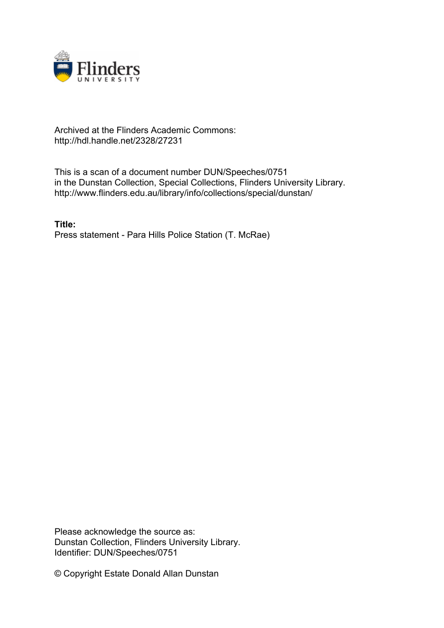

## Archived at the Flinders Academic Commons: http://hdl.handle.net/2328/27231

This is a scan of a document number DUN/Speeches/0751 in the Dunstan Collection, Special Collections, Flinders University Library. http://www.flinders.edu.au/library/info/collections/special/dunstan/

**Title:** Press statement - Para Hills Police Station (T. McRae)

Please acknowledge the source as: Dunstan Collection, Flinders University Library. Identifier: DUN/Speeches/0751

© Copyright Estate Donald Allan Dunstan